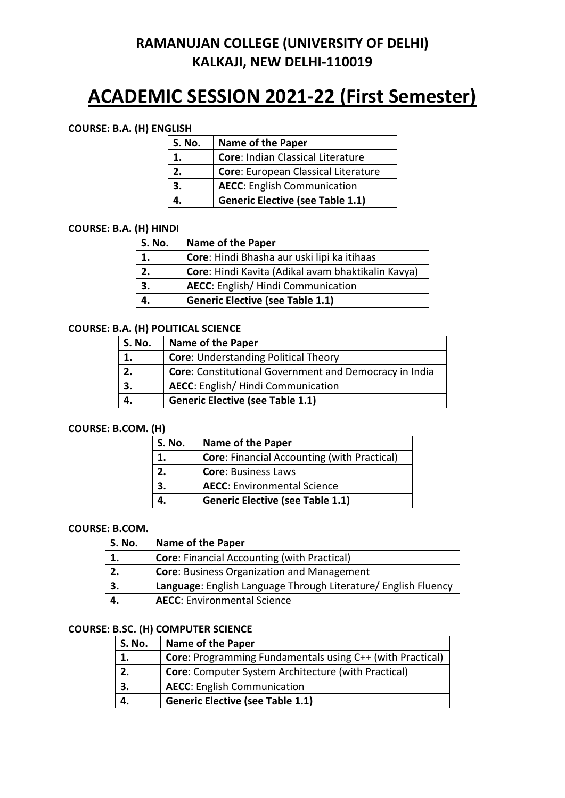# **ACADEMIC SESSION 2021-22 (First Semester)**

#### **COURSE: B.A. (H) ENGLISH**

| <b>S. No.</b> | Name of the Paper                       |
|---------------|-----------------------------------------|
| 1.            | Core: Indian Classical Literature       |
| 2.            | Core: European Classical Literature     |
| 3.            | <b>AECC:</b> English Communication      |
|               | <b>Generic Elective (see Table 1.1)</b> |

#### **COURSE: B.A. (H) HINDI**

| S. No. | <b>Name of the Paper</b>                           |
|--------|----------------------------------------------------|
| 1.     | Core: Hindi Bhasha aur uski lipi ka itihaas        |
| 2.     | Core: Hindi Kavita (Adikal avam bhaktikalin Kavya) |
| 3.     | <b>AECC:</b> English/ Hindi Communication          |
|        | <b>Generic Elective (see Table 1.1)</b>            |

### **COURSE: B.A. (H) POLITICAL SCIENCE**

| S. No. | <b>Name of the Paper</b>                                      |
|--------|---------------------------------------------------------------|
|        | <b>Core: Understanding Political Theory</b>                   |
| 2.     | <b>Core:</b> Constitutional Government and Democracy in India |
| 3.     | AECC: English/ Hindi Communication                            |
|        | <b>Generic Elective (see Table 1.1)</b>                       |

#### **COURSE: B.COM. (H)**

| S. No. | <b>Name of the Paper</b>                           |
|--------|----------------------------------------------------|
|        | <b>Core: Financial Accounting (with Practical)</b> |
| 2.     | <b>Core: Business Laws</b>                         |
| 3.     | <b>AECC:</b> Environmental Science                 |
|        | <b>Generic Elective (see Table 1.1)</b>            |

#### **COURSE: B.COM.**

| S. No. | <b>Name of the Paper</b>                                       |
|--------|----------------------------------------------------------------|
|        | <b>Core: Financial Accounting (with Practical)</b>             |
|        | <b>Core: Business Organization and Management</b>              |
| З.     | Language: English Language Through Literature/ English Fluency |
|        | <b>AECC:</b> Environmental Science                             |

### **COURSE: B.SC. (H) COMPUTER SCIENCE**

| S. No. | <b>Name of the Paper</b>                                         |
|--------|------------------------------------------------------------------|
|        | <b>Core:</b> Programming Fundamentals using C++ (with Practical) |
|        | <b>Core:</b> Computer System Architecture (with Practical)       |
|        | <b>AECC:</b> English Communication                               |
|        | <b>Generic Elective (see Table 1.1)</b>                          |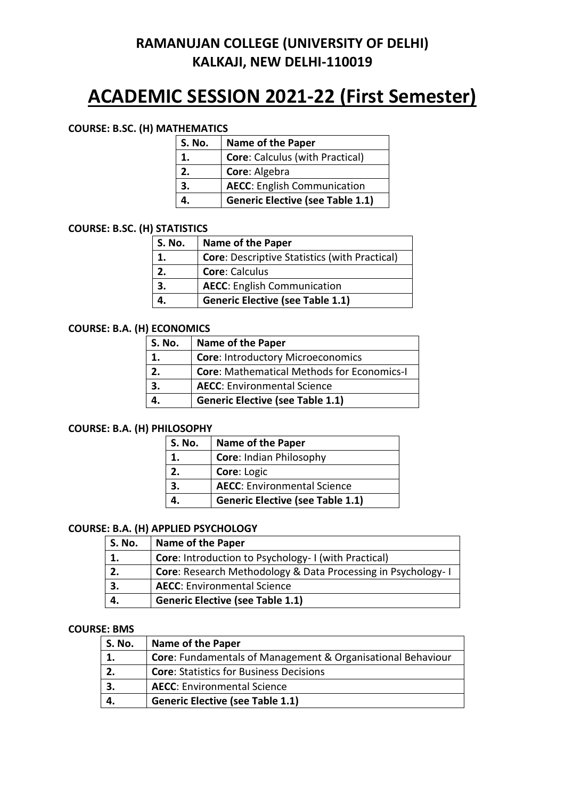# **ACADEMIC SESSION 2021-22 (First Semester)**

#### **COURSE: B.SC. (H) MATHEMATICS**

| <b>S. No.</b> | <b>Name of the Paper</b>                |
|---------------|-----------------------------------------|
| 1.            | <b>Core: Calculus (with Practical)</b>  |
| 2.            | Core: Algebra                           |
| 3.            | <b>AECC:</b> English Communication      |
|               | <b>Generic Elective (see Table 1.1)</b> |

#### **COURSE: B.SC. (H) STATISTICS**

| S. No. | <b>Name of the Paper</b>                             |
|--------|------------------------------------------------------|
| 1.     | <b>Core: Descriptive Statistics (with Practical)</b> |
| 2.     | <b>Core: Calculus</b>                                |
| 3.     | <b>AECC:</b> English Communication                   |
|        | <b>Generic Elective (see Table 1.1)</b>              |

#### **COURSE: B.A. (H) ECONOMICS**

| S. No. | <b>Name of the Paper</b>                          |  |
|--------|---------------------------------------------------|--|
| 1.     | <b>Core: Introductory Microeconomics</b>          |  |
| 2.     | <b>Core: Mathematical Methods for Economics-I</b> |  |
| 3.     | <b>AECC:</b> Environmental Science                |  |
|        | <b>Generic Elective (see Table 1.1)</b>           |  |

#### **COURSE: B.A. (H) PHILOSOPHY**

| S. No. | Name of the Paper                       |
|--------|-----------------------------------------|
|        | Core: Indian Philosophy                 |
| 2.     | Core: Logic                             |
| 3.     | <b>AECC:</b> Environmental Science      |
|        | <b>Generic Elective (see Table 1.1)</b> |

#### **COURSE: B.A. (H) APPLIED PSYCHOLOGY**

| S. No. | <b>Name of the Paper</b>                                            |
|--------|---------------------------------------------------------------------|
|        | Core: Introduction to Psychology- I (with Practical)                |
|        | <b>Core:</b> Research Methodology & Data Processing in Psychology-1 |
| 3.     | <b>AECC:</b> Environmental Science                                  |
| 4.     | <b>Generic Elective (see Table 1.1)</b>                             |

#### **COURSE: BMS**

| S. No. | <b>Name of the Paper</b>                                           |
|--------|--------------------------------------------------------------------|
| 1.     | <b>Core:</b> Fundamentals of Management & Organisational Behaviour |
| 2.     | <b>Core: Statistics for Business Decisions</b>                     |
| 3.     | <b>AECC:</b> Environmental Science                                 |
|        | <b>Generic Elective (see Table 1.1)</b>                            |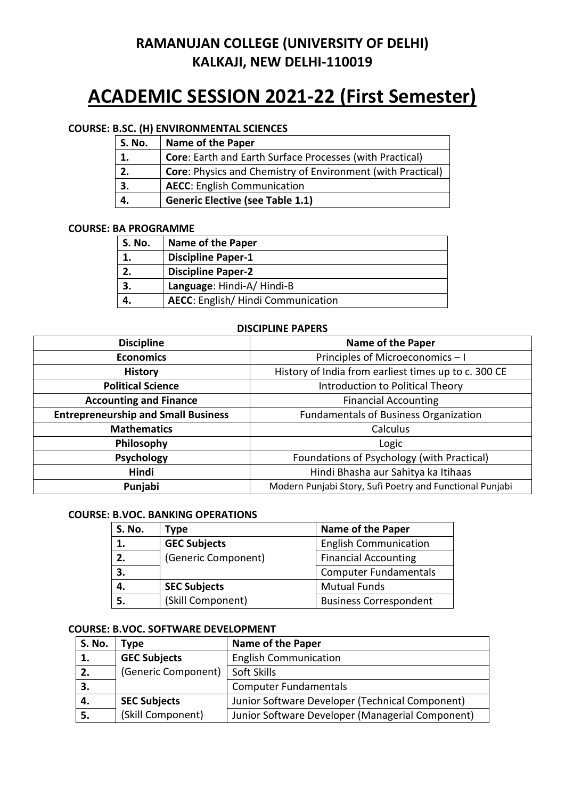# **ACADEMIC SESSION 2021-22 (First Semester)**

### **COURSE: B.SC. (H) ENVIRONMENTAL SCIENCES**

| <b>S. No.</b> | <b>Name of the Paper</b>                                           |
|---------------|--------------------------------------------------------------------|
| 1.            | <b>Core:</b> Earth and Earth Surface Processes (with Practical)    |
| 2.            | <b>Core:</b> Physics and Chemistry of Environment (with Practical) |
| 3.            | <b>AECC:</b> English Communication                                 |
|               | <b>Generic Elective (see Table 1.1)</b>                            |

#### **COURSE: BA PROGRAMME**

| S. No. | <b>Name of the Paper</b>                  |
|--------|-------------------------------------------|
|        | <b>Discipline Paper-1</b>                 |
|        | <b>Discipline Paper-2</b>                 |
|        | Language: Hindi-A/Hindi-B                 |
|        | <b>AECC:</b> English/ Hindi Communication |

#### **DISCIPLINE PAPERS**

| <b>Discipline</b>                          | <b>Name of the Paper</b>                                 |
|--------------------------------------------|----------------------------------------------------------|
| <b>Economics</b>                           | Principles of Microeconomics - I                         |
| <b>History</b>                             | History of India from earliest times up to c. 300 CE     |
| <b>Political Science</b>                   | Introduction to Political Theory                         |
| <b>Accounting and Finance</b>              | <b>Financial Accounting</b>                              |
| <b>Entrepreneurship and Small Business</b> | <b>Fundamentals of Business Organization</b>             |
| <b>Mathematics</b>                         | Calculus                                                 |
| Philosophy                                 | Logic                                                    |
| <b>Psychology</b>                          | Foundations of Psychology (with Practical)               |
| Hindi                                      | Hindi Bhasha aur Sahitya ka Itihaas                      |
| Punjabi                                    | Modern Punjabi Story, Sufi Poetry and Functional Punjabi |

#### **COURSE: B.VOC. BANKING OPERATIONS**

| <b>S. No.</b> | Type                | <b>Name of the Paper</b>      |
|---------------|---------------------|-------------------------------|
| 1.            | <b>GEC Subjects</b> | <b>English Communication</b>  |
| 2.            | (Generic Component) | <b>Financial Accounting</b>   |
| 3.            |                     | <b>Computer Fundamentals</b>  |
| 4.            | <b>SEC Subjects</b> | <b>Mutual Funds</b>           |
| 5.            | (Skill Component)   | <b>Business Correspondent</b> |

#### **COURSE: B.VOC. SOFTWARE DEVELOPMENT**

| <b>S. No.</b>  | 'vpe                | <b>Name of the Paper</b>                         |
|----------------|---------------------|--------------------------------------------------|
| $\mathbf{1}$ . | <b>GEC Subjects</b> | <b>English Communication</b>                     |
| 2.             | (Generic Component) | Soft Skills                                      |
| 3.             |                     | <b>Computer Fundamentals</b>                     |
| 4.             | <b>SEC Subjects</b> | Junior Software Developer (Technical Component)  |
| 5.             | (Skill Component)   | Junior Software Developer (Managerial Component) |